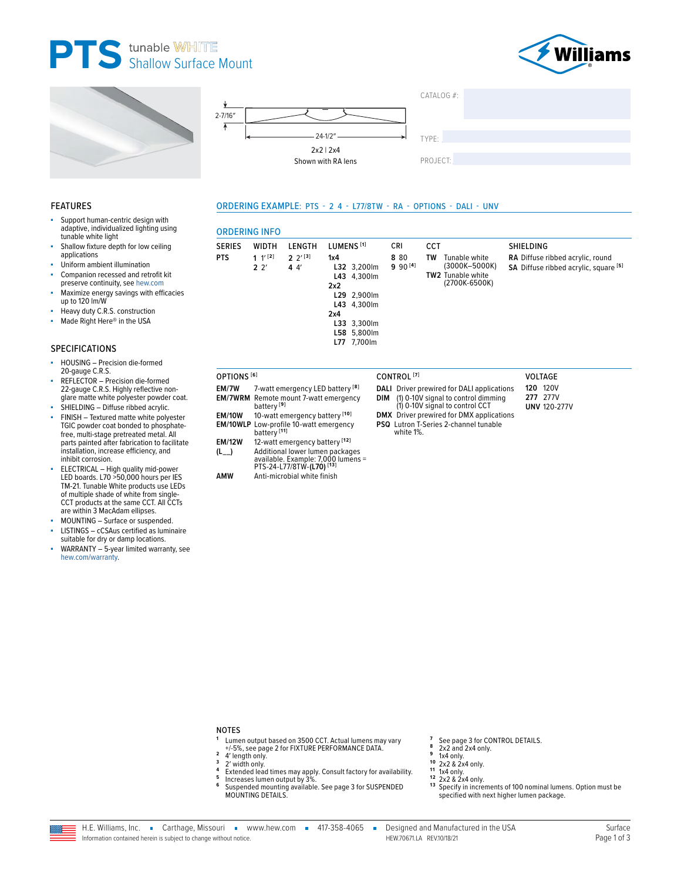





Support human-centric design with adaptive, individualized lighting using

Shallow fixture depth for low ceiling





### ORDERING EXAMPLE: PTS - 2 4 - L77/8TW - RA - OPTIONS - DALI - UNV

### **DEDIMO INEC**

| <b>SERIES</b>          | WIDTH                     | LENGTH                                        | LUMENS <sup>[1]</sup>                                                                                                         |     | CRI                    | <b>CCT</b> |                                                                             | <b>SHIELDING</b>                                                          |
|------------------------|---------------------------|-----------------------------------------------|-------------------------------------------------------------------------------------------------------------------------------|-----|------------------------|------------|-----------------------------------------------------------------------------|---------------------------------------------------------------------------|
| <b>PTS</b>             | 1 $1^{\prime}$ [2]<br>22' | $2^{11}$<br>44'                               | 1x4<br>L32 3,200lm<br>L43 4,300lm<br>2x2<br>L29 2,900lm<br>L43 4,300lm<br>2x4<br>L33 3,300lm<br>L58 5,800lm<br>7,700lm<br>L77 |     | 8 80<br>$9.90^{[4]}$   | TW         | Tunable white<br>(3000K-5000K)<br><b>TW2</b> Tunable white<br>(2700K-6500K) | RA Diffuse ribbed acrylic, round<br>SA Diffuse ribbed acrylic, square [5] |
| OPTIONS <sup>[6]</sup> |                           |                                               |                                                                                                                               |     | CONTROL <sup>[7]</sup> |            |                                                                             | VOLTAGE                                                                   |
| EM/7W                  |                           | 7-watt emergency LED battery <sup>[8]</sup>   |                                                                                                                               |     |                        |            | <b>DALI</b> Driver prewired for DALI applications                           | <b>120 120V</b>                                                           |
| EM/7WRM                | battery <sup>[9]</sup>    | Remote mount 7-watt emergency                 |                                                                                                                               | DIM |                        |            | (1) 0-10V signal to control dimming<br>(1) 0-10V signal to control CCT      | 277 277V<br><b>UNV 120-277V</b>                                           |
| <b>EM/10W</b>          |                           | 10-watt emergency battery [10]                |                                                                                                                               |     |                        |            | <b>DMX</b> Driver prewired for DMX applications                             |                                                                           |
|                        | battery <sup>[11]</sup>   | <b>EM/10WLP</b> Low-profile 10-watt emergency |                                                                                                                               |     | white 1%.              |            | <b>PSQ</b> Lutron T-Series 2-channel tunable                                |                                                                           |
| <b>EM/12W</b>          |                           | 12-watt emergency battery [12]                |                                                                                                                               |     |                        |            |                                                                             |                                                                           |
| $(L_{--})$             |                           | Additional lower lumen packages               | available. Example: 7,000 lumens =                                                                                            |     |                        |            |                                                                             |                                                                           |

PTS-24-L77/8TW-(L70)<sup>[13]</sup> AMW Anti-microbial white finish

#### **NOTES**  $\mathbf{1}$

 $\overline{\mathbf{4}}$ 

 $\overline{5}$ 

- Lumen output based on 3500 CCT. Actual lumens may vary<br>+/-5%, see page 2 for FIXTURE PERFORMANCE DATA.  $\overline{2}$
- 4' length only.  $\overline{\mathbf{3}}$ 2' width only.
	-
- Extended lead times may apply. Consult factory for availability.<br>Increases lumen output by 3%.
- 6 Suspended mounting available. See page 3 for SUSPENDED **MOUNTING DETAILS**

See page 3 for CONTROL DETAILS.<br>2x2 and 2x4 only.  $\overline{z}$  $\bf{8}$ 

- 9 1x4 only.
- $10^{10}$  2x2 & 2x4 only.
- 11
- $2x2$  &  $2x4$  only.  $12$
- <sup>13</sup> Specify in increments of 100 nominal lumens. Option must be specified with next higher lumen package.

Companion recessed and retrofit kit preserve continuity, see hew.com Maximize energy savings with efficacies up to 120 lm/W

- Heavy duty C.R.S. construction
- Made Right Here® in the USA à.

Uniform ambient illumination

### **SPECIFICATIONS**

**FEATURES** 

tunable white light

applications

٠

à.

- HOUSING Precision die-formed 20-gauge C.R.S.
- REFLECTOR Precision die-formed 22-gauge C.R.S. Highly reflective nonglare matte white polyester powder coat.
- SHIELDING Diffuse ribbed acrylic.
- FINISH Textured matte white polyester TGIC powder coat bonded to phosphatefree, multi-stage pretreated metal. All parts painted after fabrication to facilitate installation, increase efficiency, and inhibit corrosion.
- ELECTRICAL High quality mid-power<br>LED boards. L70 >50,000 hours per IES<br>TM-21. Tunable White products use LEDs<br>of multiple shade of white from single-CCT products at the same CCT. All CCTs are within 3 MacAdam ellipses.
- MOUNTING Surface or suspended.
- LISTINGS cCSAus certified as luminaire à. suitable for dry or damp locations.
- WARRANTY 5-year limited warranty, see hew.com/warranty.

H.E. Williams, Inc. Carthage, Missouri vww.hew.com 417-358-4065 -Information contained herein is subject to change without notice.

Designed and Manufactured in the USA HFW 706711A RFV10/18/21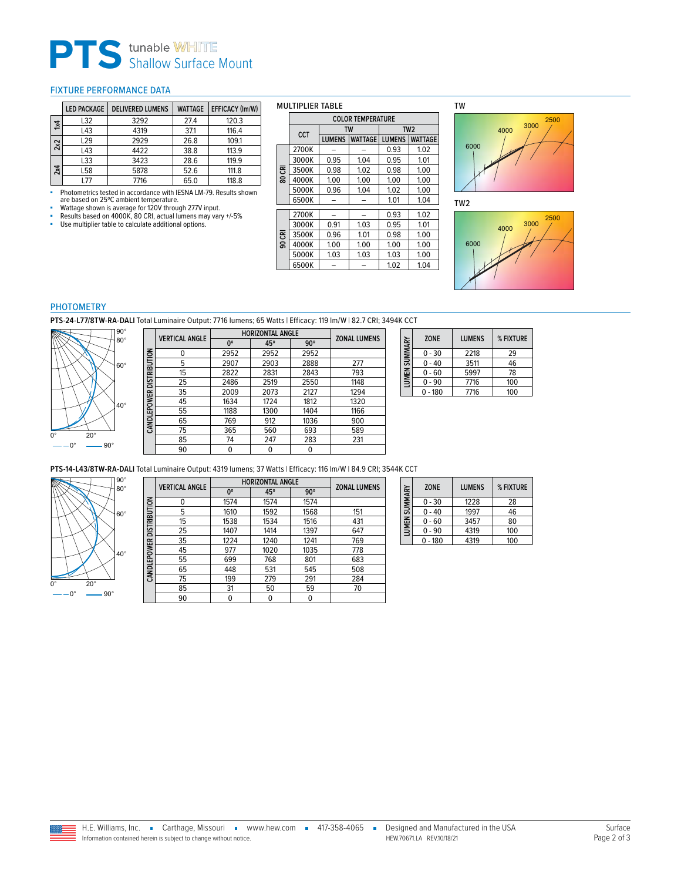# **PTS** tunable WHITE<br>
Shallow Surface Mount

### <span id="page-1-0"></span>FIXTURE PERFORMANCE DATA

|           | <b>LED PACKAGE</b> | <b>DELIVERED LUMENS</b> | <b>WATTAGE</b> | EFFICACY (Im/W) |
|-----------|--------------------|-------------------------|----------------|-----------------|
| $\approx$ | L32                | 3292                    | 27.4           | 120.3           |
|           | L43                | 4319                    | 37.1           | 116.4           |
| 2x2       | L <sub>29</sub>    | 2929                    | 26.8           | 109.1           |
|           | L43                | 4422                    | 38.8           | 113.9           |
|           | L33                | 3423                    | 28.6           | 119.9           |
| 2x4       | L58                | 5878                    | 52.6           | 111.8           |
|           | l 77               | 7716                    | 65.0           | 118.8           |

• Photometrics tested in accordance with IESNA LM-79. Results shown<br>are based on 25°C ambient temperature.<br>Wattage shown is average for 120V through 277V input.<br>• Results based on 4000K, 80 CRI, actual lumens may vary +/-5

- 
- 
- 

### MULTIPLIER TABLE

|     | <b>COLOR TEMPERATURE</b> |               |                |                 |                |  |
|-----|--------------------------|---------------|----------------|-----------------|----------------|--|
|     | <b>TW</b><br>CCT         |               |                | TW <sub>2</sub> |                |  |
|     |                          | <b>LUMENS</b> | <b>WATTAGE</b> | <b>LUMENS</b>   | <b>WATTAGE</b> |  |
|     | 2700K                    |               |                | 0.93            | 1.02           |  |
|     | 3000K                    | 0.95          | 1.04           | 0.95            | 1.01           |  |
| 룡   | 3500K                    | 0.98          | 1.02           | 0.98            | 1.00           |  |
| ខ្ល | 4000K                    | 1.00          | 1.00           | 1.00            | 1.00           |  |
|     | 5000K                    | 0.96          | 1.04           | 1.02            | 1.00           |  |
|     | 6500K                    |               |                | 1.01            | 1.04           |  |
|     | 2700K                    |               |                | 0.93            | 1.02           |  |
|     | 3000K                    | 0.91          | 1.03           | 0.95            | 1.01           |  |
| ᅗ   | 3500K                    | 0.96          | 1.01           | 0.98            | 1.00           |  |
| ഭ   | 4000K                    | 1.00          | 1.00           | 1.00            | 1.00           |  |
|     | 5000K                    | 1.03          | 1.03           | 1.03            | 1.00           |  |
|     | 6500K                    |               |                | 1.02            | 1.04           |  |



6000  $4000$   $3000$   $2500$ 





### PHOTOMETRY

**PTS-24-L77/8TW-RA-DALI** Total Luminaire Output: 7716 lumens; 65 Watts | Efficacy: 119 lm/W | 82.7 CRI; 3494K CCT



|                          | <b>VERTICAL ANGLE</b> | <b>HORIZONTAL ANGLE</b> | <b>ZONAL LUMENS</b> |            |      |
|--------------------------|-----------------------|-------------------------|---------------------|------------|------|
|                          |                       | $0^{\circ}$             | 45°                 | $90^\circ$ |      |
|                          | 0                     | 2952                    | 2952                | 2952       |      |
|                          | 5                     | 2907                    | 2903                | 2888       | 277  |
| CANDLEPOWER DISTRIBUTION | 15                    | 2822                    | 2831                | 2843       | 793  |
|                          | 25                    | 2486                    | 2519                | 2550       | 1148 |
|                          | 35                    | 2009                    | 2073                | 2127       | 1294 |
|                          | 45                    | 1634                    | 1724                | 1812       | 1320 |
|                          | 55                    | 1188                    | 1300                | 1404       | 1166 |
|                          | 65                    | 769                     | 912                 | 1036       | 900  |
|                          | 75                    | 365                     | 560                 | 693        | 589  |
|                          | 85                    | 74                      | 247                 | 283        | 231  |
|                          | 90                    | 0                       | 0                   | 0          |      |

| LUMEN SUMMARY | <b>ZONE</b> | <b>LUMENS</b> | % FIXTURE |
|---------------|-------------|---------------|-----------|
|               | $0 - 30$    | 2218          | 29        |
|               | $0 - 40$    | 3511          | 46        |
|               | $0 - 60$    | 5997          | 78        |
|               | $0 - 90$    | 7716          | 100       |
|               | $0 - 180$   | 7716          | 100       |

**PTS-14-L43/8TW-RA-DALI** Total Luminaire Output: 4319 lumens; 37 Watts | Efficacy: 116 lm/W | 84.9 CRI; 3544K CCT



|                          | <b>VERTICAL ANGLE</b> | <b>HORIZONTAL ANGLE</b> | <b>ZONAL LUMENS</b> |            |     |
|--------------------------|-----------------------|-------------------------|---------------------|------------|-----|
|                          |                       | $0^{\circ}$             | 45°                 | $90^\circ$ |     |
|                          | 0                     | 1574                    | 1574                | 1574       |     |
|                          | 5                     | 1610                    | 1592                | 1568       | 151 |
|                          | 15                    | 1538                    | 1534                | 1516       | 431 |
| CANDLEPOWER DISTRIBUTION | 25                    | 1407                    | 1414                | 1397       | 647 |
|                          | 35                    | 1224                    | 1240                | 1241       | 769 |
|                          | 45                    | 977                     | 1020                | 1035       | 778 |
|                          | 55                    | 699                     | 768                 | 801        | 683 |
|                          | 65                    | 448                     | 531                 | 545        | 508 |
|                          | 75                    | 199                     | 279                 | 291        | 284 |
|                          | 85                    | 31                      | 50                  | 59         | 70  |
|                          | 90                    | 0                       | 0                   |            |     |

| LUMEN SUMMARY | <b>ZONE</b> | <b>LUMENS</b> | % FIXTURE |
|---------------|-------------|---------------|-----------|
|               | $0 - 30$    | 1228          | 28        |
|               | 0 - 40      | 1997          | 46        |
|               | $0 - 60$    | 3457          | 80        |
|               | $0 - 90$    | 4319          | 100       |
|               | $0 - 180$   | 4319          | 100       |